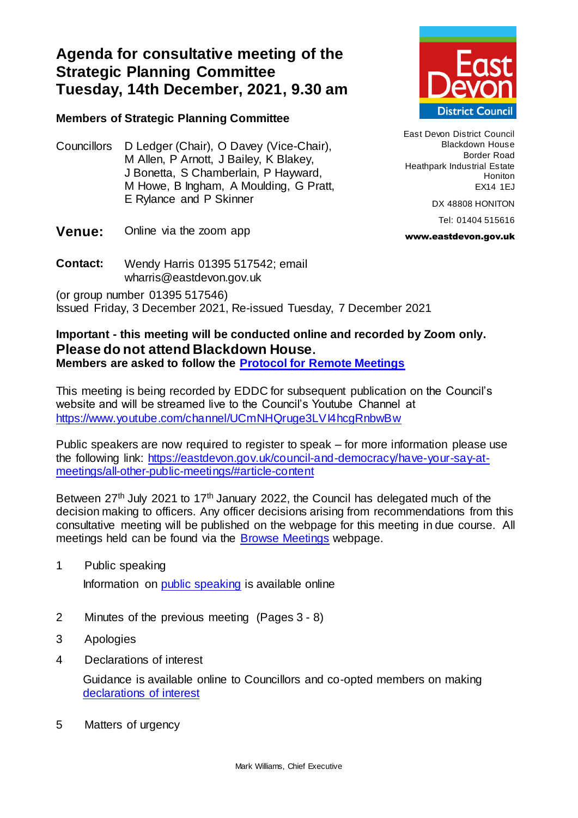## **Agenda for consultative meeting of the Strategic Planning Committee Tuesday, 14th December, 2021, 9.30 am**

## **Members of Strategic Planning Committee**

Councillors D Ledger (Chair), O Davey (Vice-Chair), M Allen, P Arnott, J Bailey, K Blakey, J Bonetta, S Chamberlain, P Hayward, M Howe, B Ingham, A Moulding, G Pratt, E Rylance and P Skinner



**Contact:** Wendy Harris 01395 517542; email wharris@eastdevon.gov.uk

(or group number 01395 517546) Issued Friday, 3 December 2021, Re-issued Tuesday, 7 December 2021

## **Important - this meeting will be conducted online and recorded by Zoom only. Please do not attend Blackdown House.**

**Members are asked to follow the [Protocol for Remote Meetings](http://eastdevon.gov.uk/council-and-democracy/protocol-for-virtual-meetings)**

This meeting is being recorded by EDDC for subsequent publication on the Council's website and will be streamed live to the Council's Youtube Channel at <https://www.youtube.com/channel/UCmNHQruge3LVI4hcgRnbwBw>

Public speakers are now required to register to speak – for more information please use the following link: [https://eastdevon.gov.uk/council-and-democracy/have-your-say-at](https://eastdevon.gov.uk/council-and-democracy/have-your-say-at-meetings/all-other-public-meetings/#article-content)[meetings/all-other-public-meetings/#article-content](https://eastdevon.gov.uk/council-and-democracy/have-your-say-at-meetings/all-other-public-meetings/#article-content)

Between  $27<sup>th</sup>$  July 2021 to 17<sup>th</sup> January 2022, the Council has delegated much of the decision making to officers. Any officer decisions arising from recommendations from this consultative meeting will be published on the webpage for this meeting in due course. All meetings held can be found via the [Browse Meetings](https://democracy.eastdevon.gov.uk/ieDocHome.aspx?bcr=1) webpage.

1 Public speaking

Information on [public speaking](https://eastdevon.gov.uk/council-and-democracy/have-your-say-at-meetings/all-other-public-meetings/#article-content) is available online

- 2 Minutes of the previous meeting(Pages 3 8)
- 3 Apologies
- 4 Declarations of interest

Guidance is available online to Councillors and co-opted members on making [declarations of interest](http://eastdevon.gov.uk/council-and-democracy/councillor-conduct/councillor-reminder-for-declaring-interests/)

5 Matters of urgency



East Devon District Council Blackdown House Border Road Heathpark Industrial Estate Honiton EX14 1EJ

DX 48808 HONITON

Tel: 01404 515616

www.eastdevon.gov.uk